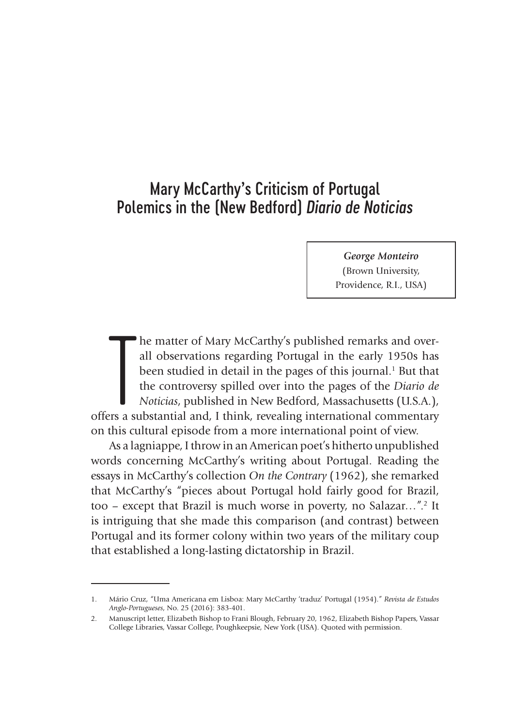## Mary McCarthy's Criticism of Portugal Polemics in the (New Bedford) *Diario de Noticias*

*George Monteiro*  (Brown University, Providence, R.I., USA)

The matter of Mary McCarthy's published remarks and over-<br>all observations regarding Portugal in the early 1950s has<br>been studied in detail in the pages of this journal.<sup>1</sup> But that<br>the controversy spilled over into the pa he matter of Mary McCarthy's published remarks and overall observations regarding Portugal in the early 1950s has been studied in detail in the pages of this journal.<sup>1</sup> But that the controversy spilled over into the pages of the *Diario de Noticias*, published in New Bedford, Massachusetts (U.S.A.), on this cultural episode from a more international point of view.

As a lagniappe, I throw in an American poet's hitherto unpublished words concerning McCarthy's writing about Portugal. Reading the essays in McCarthy's collection *On the Contrary* (1962), she remarked that McCarthy's "pieces about Portugal hold fairly good for Brazil, too – except that Brazil is much worse in poverty, no Salazar...".<sup>2</sup> It is intriguing that she made this comparison (and contrast) between Portugal and its former colony within two years of the military coup that established a long-lasting dictatorship in Brazil.

<sup>1.</sup> Mário Cruz, "Uma Americana em Lisboa: Mary McCarthy 'traduz' Portugal (1954)." *Revista de Estudos Anglo-Portugueses*, No. 25 (2016): 383-401.

<sup>2.</sup> Manuscript letter, Elizabeth Bishop to Frani Blough, February 20, 1962, Elizabeth Bishop Papers, Vassar College Libraries, Vassar College, Poughkeepsie, New York (USA). Quoted with permission.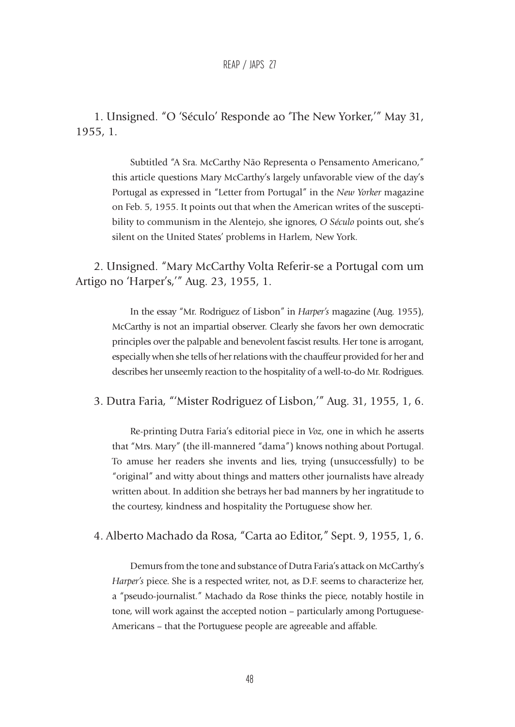## REAP / JAPS 27

1. Unsigned. "O 'Século' Responde ao 'The New Yorker,'" May 31, 1955, 1.

> Subtitled "A Sra. McCarthy Não Representa o Pensamento Americano," this article questions Mary McCarthy's largely unfavorable view of the day's Portugal as expressed in "Letter from Portugal" in the *New Yorker* magazine on Feb. 5, 1955. It points out that when the American writes of the susceptibility to communism in the Alentejo, she ignores, *O Século* points out, she's silent on the United States' problems in Harlem, New York.

2. Unsigned. "Mary McCarthy Volta Referir-se a Portugal com um Artigo no 'Harper's,'" Aug. 23, 1955, 1.

> In the essay "Mr. Rodriguez of Lisbon" in *Harper's* magazine (Aug. 1955), McCarthy is not an impartial observer. Clearly she favors her own democratic principles over the palpable and benevolent fascist results. Her tone is arrogant, especially when she tells of her relations with the chauffeur provided for her and describes her unseemly reaction to the hospitality of a well-to-do Mr. Rodrigues.

3. Dutra Faria, "'Mister Rodriguez of Lisbon,'" Aug. 31, 1955, 1, 6.

Re-printing Dutra Faria's editorial piece in *Voz*, one in which he asserts that "Mrs. Mary" (the ill-mannered "dama") knows nothing about Portugal. To amuse her readers she invents and lies, trying (unsuccessfully) to be "original" and witty about things and matters other journalists have already written about. In addition she betrays her bad manners by her ingratitude to the courtesy, kindness and hospitality the Portuguese show her.

4. Alberto Machado da Rosa, "Carta ao Editor," Sept. 9, 1955, 1, 6.

Demurs from the tone and substance of Dutra Faria's attack on McCarthy's *Harper's* piece. She is a respected writer, not, as D.F. seems to characterize her, a "pseudo-journalist." Machado da Rose thinks the piece, notably hostile in tone, will work against the accepted notion – particularly among Portuguese-Americans – that the Portuguese people are agreeable and affable.